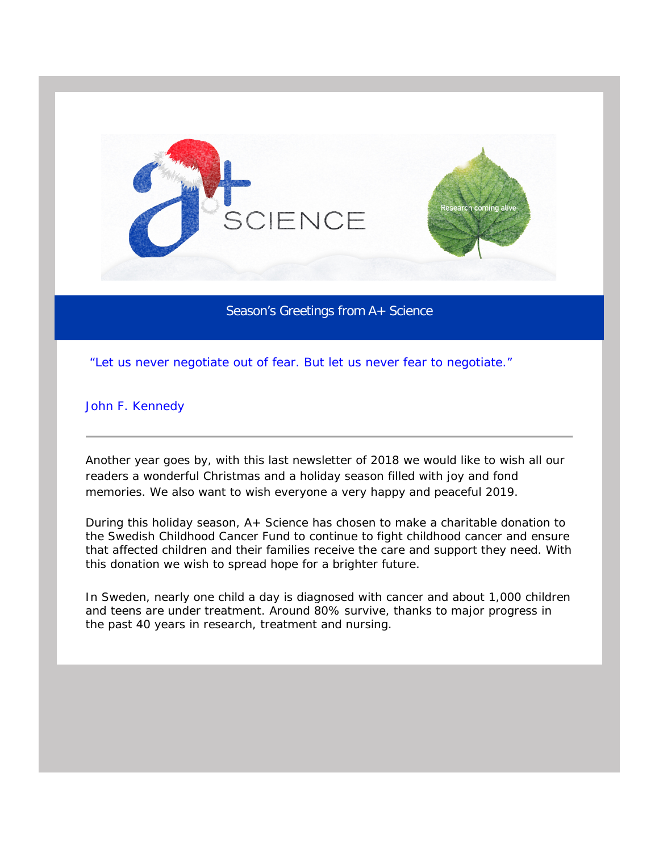

Season's Greetings from A+ Science

*"Let us never negotiate out of fear. But let us never fear to negotiate."*

John F. Kennedy

Another year goes by, with this last newsletter of 2018 we would like to wish all our readers a wonderful Christmas and a holiday season filled with joy and fond memories. We also want to wish everyone a very happy and peaceful 2019.

During this holiday season, A+ Science has chosen to make a charitable donation to the Swedish Childhood Cancer Fund to continue to fight childhood cancer and ensure that affected children and their families receive the care and support they need. With this donation we wish to spread hope for a brighter future.

In Sweden, nearly one child a day is diagnosed with cancer and about 1,000 children and teens are under treatment. Around 80% survive, thanks to major progress in the past 40 years in research, treatment and nursing.